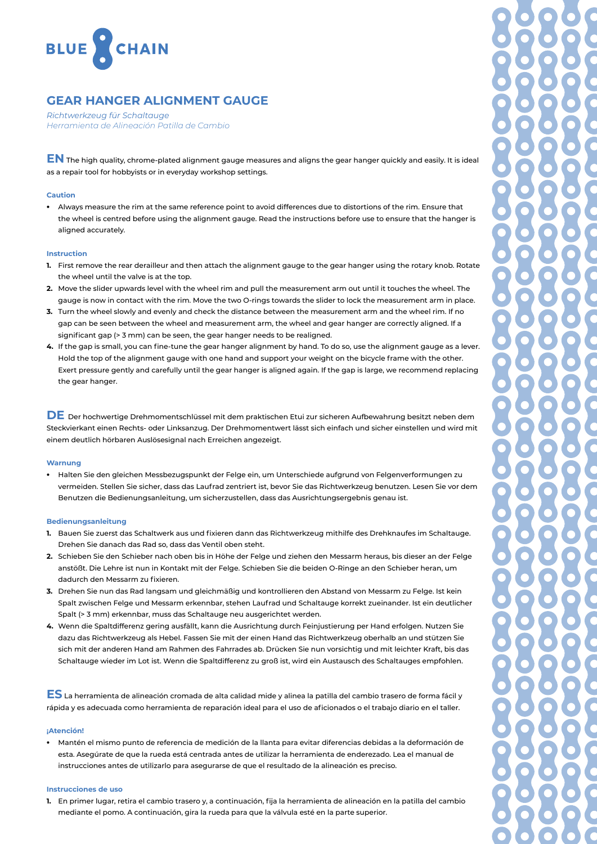

# **GEAR HANGER ALIGNMENT GAUGE**

*Richtwerkzeug für Schaltauge Herramienta de Alineación Patilla de Cambio*

**EN** The high quality, chrome-plated alignment gauge measures and aligns the gear hanger quickly and easily. It is ideal as a repair tool for hobbyists or in everyday workshop settings.

## **Caution**

ظ Always measure the rim at the same reference point to avoid differences due to distortions of the rim. Ensure that the wheel is centred before using the alignment gauge. Read the instructions before use to ensure that the hanger is aligned accurately.

#### **Instruction**

- **1.** First remove the rear derailleur and then attach the alignment gauge to the gear hanger using the rotary knob. Rotate the wheel until the valve is at the top.
- **2.** Move the slider upwards level with the wheel rim and pull the measurement arm out until it touches the wheel. The gauge is now in contact with the rim. Move the two O-rings towards the slider to lock the measurement arm in place.
- **3.** Turn the wheel slowly and evenly and check the distance between the measurement arm and the wheel rim. If no gap can be seen between the wheel and measurement arm, the wheel and gear hanger are correctly aligned. If a significant gap (> 3 mm) can be seen, the gear hanger needs to be realigned.
- **4.** If the gap is small, you can fine-tune the gear hanger alignment by hand. To do so, use the alignment gauge as a lever. Hold the top of the alignment gauge with one hand and support your weight on the bicycle frame with the other. Exert pressure gently and carefully until the gear hanger is aligned again. If the gap is large, we recommend replacing the gear hanger.

**DE** Der hochwertige Drehmomentschlüssel mit dem praktischen Etui zur sicheren Aufbewahrung besitzt neben dem Steckvierkant einen Rechts- oder Linksanzug. Der Drehmomentwert lässt sich einfach und sicher einstellen und wird mit einem deutlich hörbaren Auslösesignal nach Erreichen angezeigt.

#### **Warnung**

• Halten Sie den gleichen Messbezugspunkt der Felge ein, um Unterschiede aufgrund von Felgenverformungen zu vermeiden. Stellen Sie sicher, dass das Laufrad zentriert ist, bevor Sie das Richtwerkzeug benutzen. Lesen Sie vor dem Benutzen die Bedienungsanleitung, um sicherzustellen, dass das Ausrichtungsergebnis genau ist.

## **Bedienungsanleitung**

- **1.** Bauen Sie zuerst das Schaltwerk aus und fixieren dann das Richtwerkzeug mithilfe des Drehknaufes im Schaltauge. Drehen Sie danach das Rad so, dass das Ventil oben steht.
- **2.** Schieben Sie den Schieber nach oben bis in Höhe der Felge und ziehen den Messarm heraus, bis dieser an der Felge anstößt. Die Lehre ist nun in Kontakt mit der Felge. Schieben Sie die beiden O-Ringe an den Schieber heran, um dadurch den Messarm zu fixieren.
- **3.** Drehen Sie nun das Rad langsam und gleichmäßig und kontrollieren den Abstand von Messarm zu Felge. Ist kein Spalt zwischen Felge und Messarm erkennbar, stehen Laufrad und Schaltauge korrekt zueinander. Ist ein deutlicher Spalt (> 3 mm) erkennbar, muss das Schaltauge neu ausgerichtet werden.
- **4.** Wenn die Spaltdifferenz gering ausfällt, kann die Ausrichtung durch Feinjustierung per Hand erfolgen. Nutzen Sie dazu das Richtwerkzeug als Hebel. Fassen Sie mit der einen Hand das Richtwerkzeug oberhalb an und stützen Sie sich mit der anderen Hand am Rahmen des Fahrrades ab. Drücken Sie nun vorsichtig und mit leichter Kraft, bis das Schaltauge wieder im Lot ist. Wenn die Spaltdifferenz zu groß ist, wird ein Austausch des Schaltauges empfohlen.

**ES** La herramienta de alineación cromada de alta calidad mide y alinea la patilla del cambio trasero de forma fácil y rápida y es adecuada como herramienta de reparación ideal para el uso de aficionados o el trabajo diario en el taller.

### **¡Atención!**

ظ Mantén el mismo punto de referencia de medición de la llanta para evitar diferencias debidas a la deformación de esta. Asegúrate de que la rueda está centrada antes de utilizar la herramienta de enderezado. Lea el manual de instrucciones antes de utilizarlo para asegurarse de que el resultado de la alineación es preciso.

#### **Instrucciones de uso**

**1.** En primer lugar, retira el cambio trasero y, a continuación, fija la herramienta de alineación en la patilla del cambio mediante el pomo. A continuación, gira la rueda para que la válvula esté en la parte superior.